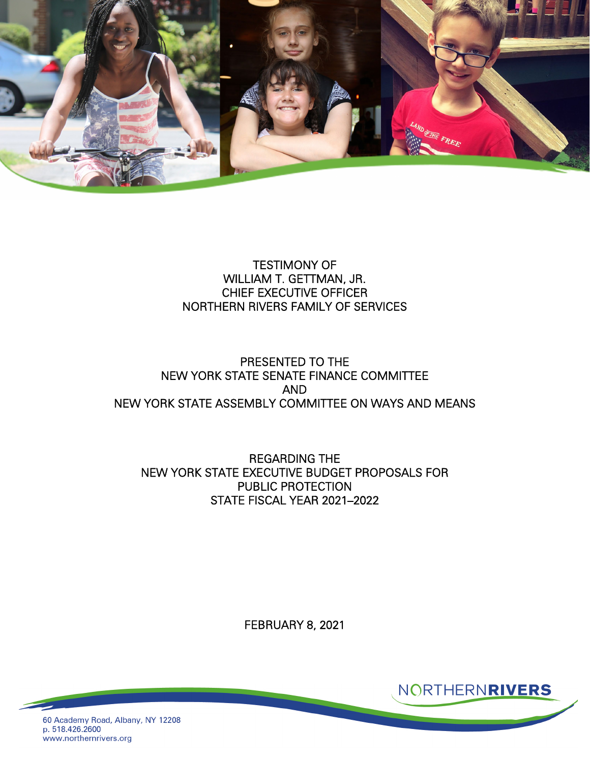

### TESTIMONY OF WILLIAM T. GETTMAN, JR. CHIEF EXECUTIVE OFFICER NORTHERN RIVERS FAMILY OF SERVICES

### PRESENTED TO THE NEW YORK STATE SENATE FINANCE COMMITTEE AND NEW YORK STATE ASSEMBLY COMMITTEE ON WAYS AND MEANS

REGARDING THE NEW YORK STATE EXECUTIVE BUDGET PROPOSALS FOR PUBLIC PROTECTION STATE FISCAL YEAR 2021–2022

FEBRUARY 8, 2021



NORTHERNRIVERS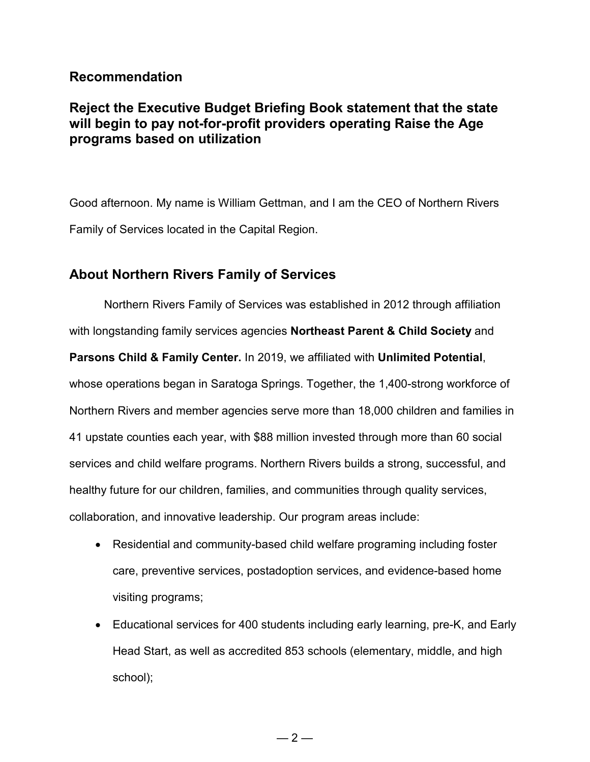## **Recommendation**

# **Reject the Executive Budget Briefing Book statement that the state will begin to pay not-for-profit providers operating Raise the Age programs based on utilization**

Good afternoon. My name is William Gettman, and I am the CEO of Northern Rivers Family of Services located in the Capital Region.

## **About Northern Rivers Family of Services**

Northern Rivers Family of Services was established in 2012 through affiliation with longstanding family services agencies **Northeast Parent & Child Society** and

**Parsons Child & Family Center.** In 2019, we affiliated with **Unlimited Potential**, whose operations began in Saratoga Springs. Together, the 1,400-strong workforce of Northern Rivers and member agencies serve more than 18,000 children and families in 41 upstate counties each year, with \$88 million invested through more than 60 social services and child welfare programs. Northern Rivers builds a strong, successful, and healthy future for our children, families, and communities through quality services, collaboration, and innovative leadership. Our program areas include:

- Residential and community-based child welfare programing including foster care, preventive services, postadoption services, and evidence-based home visiting programs;
- Educational services for 400 students including early learning, pre-K, and Early Head Start, as well as accredited 853 schools (elementary, middle, and high school);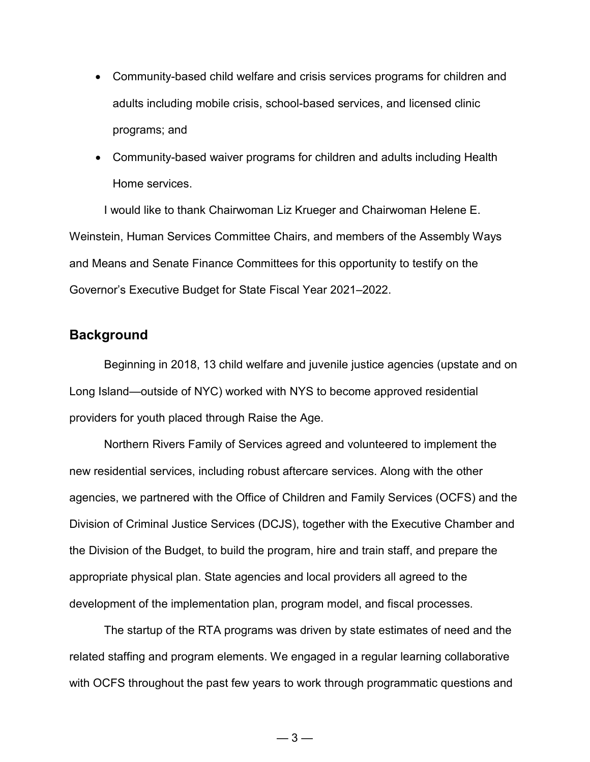- Community-based child welfare and crisis services programs for children and adults including mobile crisis, school-based services, and licensed clinic programs; and
- Community-based waiver programs for children and adults including Health Home services.

I would like to thank Chairwoman Liz Krueger and Chairwoman Helene E. Weinstein, Human Services Committee Chairs, and members of the Assembly Ways and Means and Senate Finance Committees for this opportunity to testify on the Governor's Executive Budget for State Fiscal Year 2021–2022.

### **Background**

Beginning in 2018, 13 child welfare and juvenile justice agencies (upstate and on Long Island—outside of NYC) worked with NYS to become approved residential providers for youth placed through Raise the Age.

Northern Rivers Family of Services agreed and volunteered to implement the new residential services, including robust aftercare services. Along with the other agencies, we partnered with the Office of Children and Family Services (OCFS) and the Division of Criminal Justice Services (DCJS), together with the Executive Chamber and the Division of the Budget, to build the program, hire and train staff, and prepare the appropriate physical plan. State agencies and local providers all agreed to the development of the implementation plan, program model, and fiscal processes.

The startup of the RTA programs was driven by state estimates of need and the related staffing and program elements. We engaged in a regular learning collaborative with OCFS throughout the past few years to work through programmatic questions and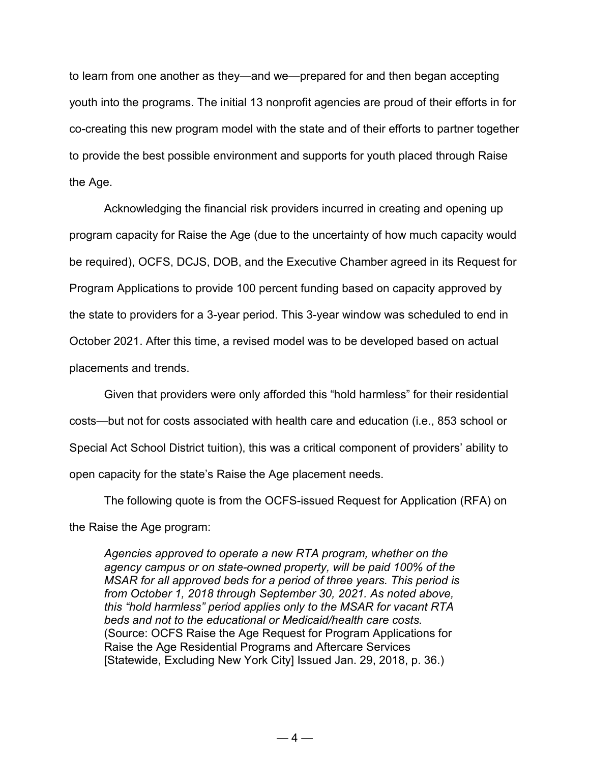to learn from one another as they—and we—prepared for and then began accepting youth into the programs. The initial 13 nonprofit agencies are proud of their efforts in for co-creating this new program model with the state and of their efforts to partner together to provide the best possible environment and supports for youth placed through Raise the Age.

Acknowledging the financial risk providers incurred in creating and opening up program capacity for Raise the Age (due to the uncertainty of how much capacity would be required), OCFS, DCJS, DOB, and the Executive Chamber agreed in its Request for Program Applications to provide 100 percent funding based on capacity approved by the state to providers for a 3-year period. This 3-year window was scheduled to end in October 2021. After this time, a revised model was to be developed based on actual placements and trends.

Given that providers were only afforded this "hold harmless" for their residential costs—but not for costs associated with health care and education (i.e., 853 school or Special Act School District tuition), this was a critical component of providers' ability to open capacity for the state's Raise the Age placement needs.

The following quote is from the OCFS-issued Request for Application (RFA) on the Raise the Age program:

*Agencies approved to operate a new RTA program, whether on the agency campus or on state-owned property, will be paid 100% of the MSAR for all approved beds for a period of three years. This period is from October 1, 2018 through September 30, 2021. As noted above, this "hold harmless" period applies only to the MSAR for vacant RTA beds and not to the educational or Medicaid/health care costs.*  (Source: OCFS Raise the Age Request for Program Applications for Raise the Age Residential Programs and Aftercare Services [Statewide, Excluding New York City] Issued Jan. 29, 2018, p. 36.)

 $-4-$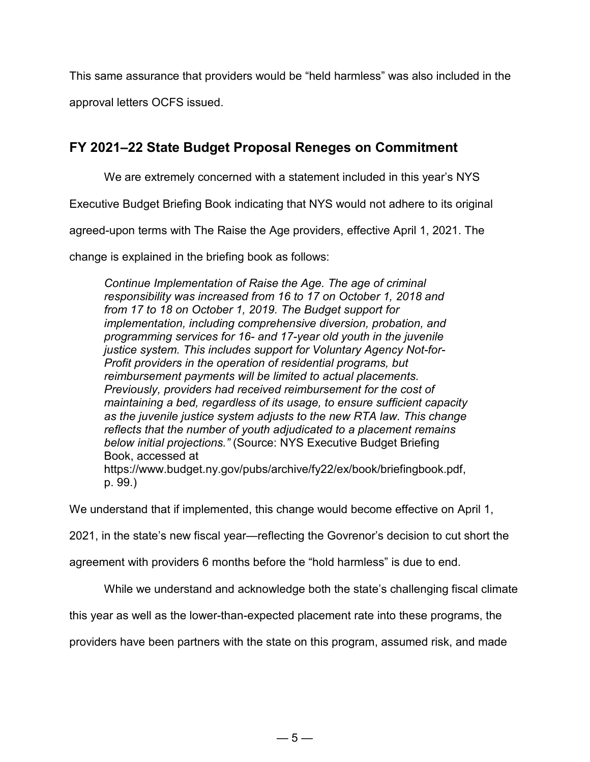This same assurance that providers would be "held harmless" was also included in the

approval letters OCFS issued.

# **FY 2021–22 State Budget Proposal Reneges on Commitment**

We are extremely concerned with a statement included in this year's NYS

Executive Budget Briefing Book indicating that NYS would not adhere to its original

agreed-upon terms with The Raise the Age providers, effective April 1, 2021. The

change is explained in the briefing book as follows:

*Continue Implementation of Raise the Age. The age of criminal responsibility was increased from 16 to 17 on October 1, 2018 and from 17 to 18 on October 1, 2019. The Budget support for implementation, including comprehensive diversion, probation, and programming services for 16- and 17-year old youth in the juvenile justice system. This includes support for Voluntary Agency Not-for-Profit providers in the operation of residential programs, but reimbursement payments will be limited to actual placements. Previously, providers had received reimbursement for the cost of maintaining a bed, regardless of its usage, to ensure sufficient capacity as the juvenile justice system adjusts to the new RTA law. This change reflects that the number of youth adjudicated to a placement remains below initial projections."* (Source: NYS Executive Budget Briefing Book, accessed at https://www.budget.ny.gov/pubs/archive/fy22/ex/book/briefingbook.pdf, p. 99.)

We understand that if implemented, this change would become effective on April 1,

2021, in the state's new fiscal year—reflecting the Govrenor's decision to cut short the

agreement with providers 6 months before the "hold harmless" is due to end.

While we understand and acknowledge both the state's challenging fiscal climate

this year as well as the lower-than-expected placement rate into these programs, the

providers have been partners with the state on this program, assumed risk, and made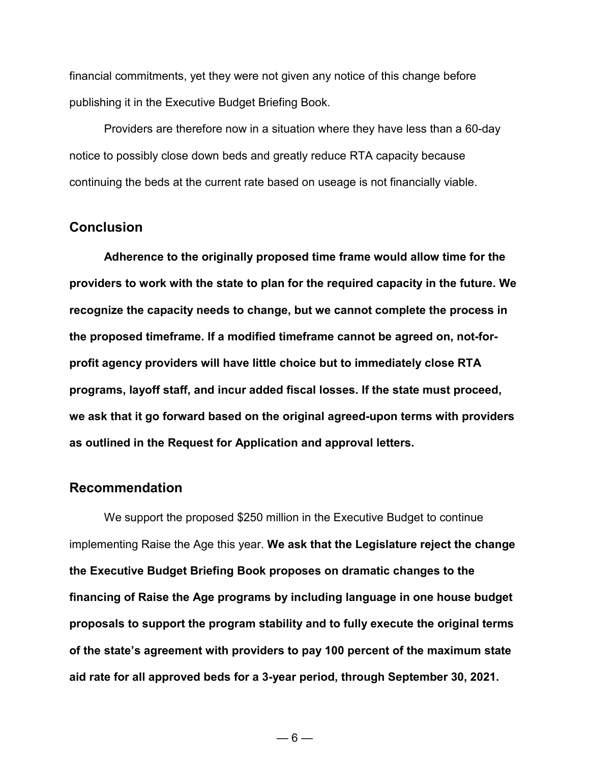financial commitments, yet they were not given any notice of this change before publishing it in the Executive Budget Briefing Book.

Providers are therefore now in a situation where they have less than a 60-day notice to possibly close down beds and greatly reduce RTA capacity because continuing the beds at the current rate based on useage is not financially viable.

### **Conclusion**

**Adherence to the originally proposed time frame would allow time for the providers to work with the state to plan for the required capacity in the future. We recognize the capacity needs to change, but we cannot complete the process in the proposed timeframe. If a modified timeframe cannot be agreed on, not-forprofit agency providers will have little choice but to immediately close RTA programs, layoff staff, and incur added fiscal losses. If the state must proceed, we ask that it go forward based on the original agreed-upon terms with providers as outlined in the Request for Application and approval letters.** 

#### **Recommendation**

We support the proposed \$250 million in the Executive Budget to continue implementing Raise the Age this year. **We ask that the Legislature reject the change the Executive Budget Briefing Book proposes on dramatic changes to the financing of Raise the Age programs by including language in one house budget proposals to support the program stability and to fully execute the original terms of the state's agreement with providers to pay 100 percent of the maximum state aid rate for all approved beds for a 3-year period, through September 30, 2021.**